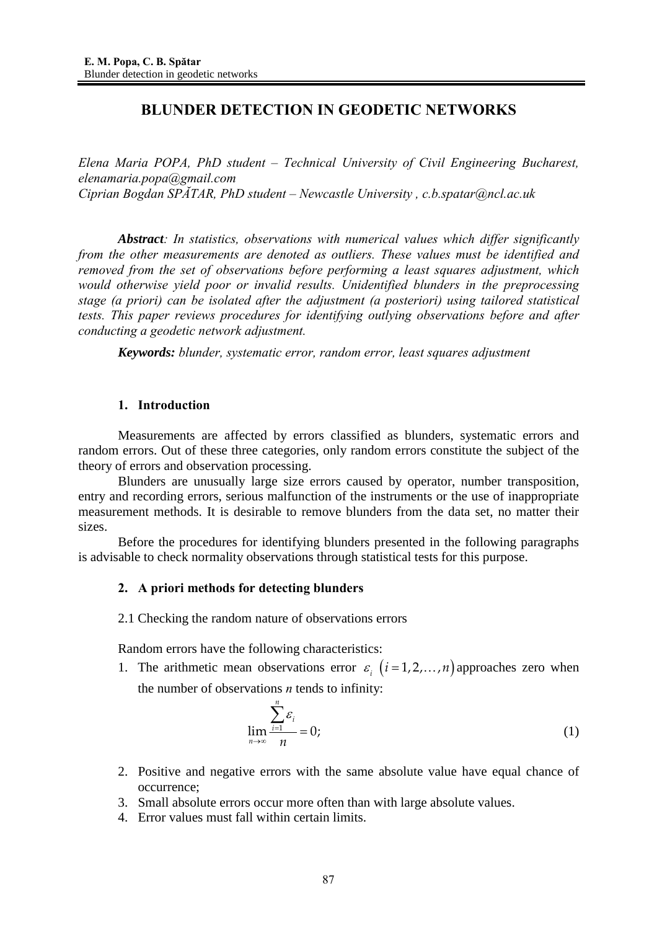# **BLUNDER DETECTION IN GEODETIC NETWORKS**

*Elena Maria POPA, PhD student – Technical University of Civil Engineering Bucharest, elenamaria.popa@gmail.com Ciprian Bogdan SPĂTAR, PhD student – Newcastle University , c.b.spatar@ncl.ac.uk* 

*Abstract: In statistics, observations with numerical values which differ significantly from the other measurements are denoted as outliers. These values must be identified and removed from the set of observations before performing a least squares adjustment, which would otherwise yield poor or invalid results. Unidentified blunders in the preprocessing stage (a priori) can be isolated after the adjustment (a posteriori) using tailored statistical tests. This paper reviews procedures for identifying outlying observations before and after conducting a geodetic network adjustment.* 

*Keywords: blunder, systematic error, random error, least squares adjustment* 

# **1. Introduction**

Measurements are affected by errors classified as blunders, systematic errors and random errors. Out of these three categories, only random errors constitute the subject of the theory of errors and observation processing.

Blunders are unusually large size errors caused by operator, number transposition, entry and recording errors, serious malfunction of the instruments or the use of inappropriate measurement methods. It is desirable to remove blunders from the data set, no matter their sizes.

Before the procedures for identifying blunders presented in the following paragraphs is advisable to check normality observations through statistical tests for this purpose.

# **2. A priori methods for detecting blunders**

2.1 Checking the random nature of observations errors

Random errors have the following characteristics:

1. The arithmetic mean observations error  $\varepsilon_i$  ( $i = 1, 2, ..., n$ ) approaches zero when the number of observations *n* tends to infinity:

$$
\lim_{n \to \infty} \frac{\sum_{i=1}^{n} \varepsilon_i}{n} = 0;
$$
\n(1)

- 2. Positive and negative errors with the same absolute value have equal chance of occurrence;
- 3. Small absolute errors occur more often than with large absolute values.
- 4. Error values must fall within certain limits.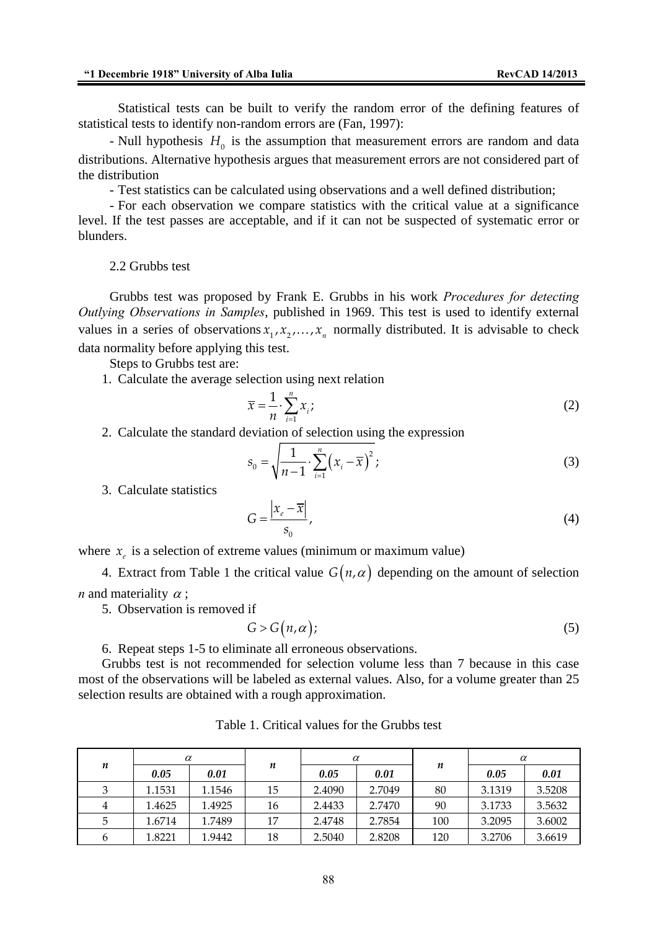Statistical tests can be built to verify the random error of the defining features of statistical tests to identify non-random errors are (Fan, 1997):

- Null hypothesis  $H_0$  is the assumption that measurement errors are random and data distributions. Alternative hypothesis argues that measurement errors are not considered part of the distribution

- Test statistics can be calculated using observations and a well defined distribution;

- For each observation we compare statistics with the critical value at a significance level. If the test passes are acceptable, and if it can not be suspected of systematic error or blunders.

2.2 Grubbs test

Grubbs test was proposed by Frank E. Grubbs in his work *Procedures for detecting Outlying Observations in Samples*, published in 1969. This test is used to identify external values in a series of observations  $x_1, x_2, ..., x_n$  normally distributed. It is advisable to check data normality before applying this test.

Steps to Grubbs test are:

1. Calculate the average selection using next relation

$$
\overline{x} = \frac{1}{n} \cdot \sum_{i=1}^{n} x_i;
$$
 (2)

2. Calculate the standard deviation of selection using the expression

$$
s_0 = \sqrt{\frac{1}{n-1} \cdot \sum_{i=1}^{n} (x_i - \overline{x})^2};
$$
\n(3)

3. Calculate statistics

$$
G = \frac{|x_e - \overline{x}|}{s_0},\tag{4}
$$

where  $x_i$  is a selection of extreme values (minimum or maximum value)

4. Extract from Table 1 the critical value  $G(n, \alpha)$  depending on the amount of selection *n* and materiality  $\alpha$ ;

5. Observation is removed if

$$
G > G\big(n, \alpha\big); \tag{5}
$$

6. Repeat steps 1-5 to eliminate all erroneous observations.

Grubbs test is not recommended for selection volume less than 7 because in this case most of the observations will be labeled as external values. Also, for a volume greater than 25 selection results are obtained with a rough approximation.

| n | $\alpha$ |        |    | $\alpha$ |        |     | $\alpha$ |        |
|---|----------|--------|----|----------|--------|-----|----------|--------|
|   | 0.05     | 0.01   | n  | 0.05     | 0.01   | n   | 0.05     | 0.01   |
| 3 | 1.1531   | 1.1546 | 15 | 2.4090   | 2.7049 | 80  | 3.1319   | 3.5208 |
| 4 | 1.4625   | 1.4925 | 16 | 2.4433   | 2.7470 | 90  | 3.1733   | 3.5632 |
| 5 | 1.6714   | 1.7489 | 17 | 2.4748   | 2.7854 | 100 | 3.2095   | 3.6002 |
|   | 1.8221   | 1.9442 | 18 | 2.5040   | 2.8208 | 120 | 3.2706   | 3.6619 |

Table 1. Critical values for the Grubbs test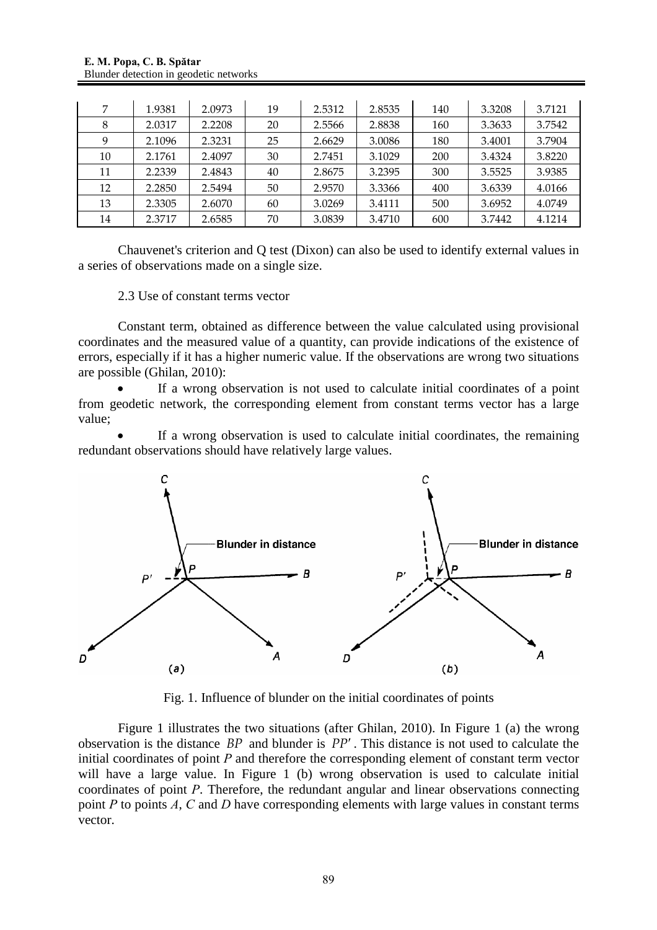| 7  | 1.9381 | 2.0973 | 19 | 2.5312 | 2.8535 | 140 | 3.3208 | 3.7121 |
|----|--------|--------|----|--------|--------|-----|--------|--------|
| 8  | 2.0317 | 2.2208 | 20 | 2.5566 | 2.8838 | 160 | 3.3633 | 3.7542 |
| 9  | 2.1096 | 2.3231 | 25 | 2.6629 | 3.0086 | 180 | 3.4001 | 3.7904 |
| 10 | 2.1761 | 2.4097 | 30 | 2.7451 | 3.1029 | 200 | 3.4324 | 3.8220 |
| 11 | 2.2339 | 2.4843 | 40 | 2.8675 | 3.2395 | 300 | 3.5525 | 3.9385 |
| 12 | 2.2850 | 2.5494 | 50 | 2.9570 | 3.3366 | 400 | 3.6339 | 4.0166 |
| 13 | 2.3305 | 2.6070 | 60 | 3.0269 | 3.4111 | 500 | 3.6952 | 4.0749 |
| 14 | 2.3717 | 2.6585 | 70 | 3.0839 | 3.4710 | 600 | 3.7442 | 4.1214 |

Chauvenet's criterion and Q test (Dixon) can also be used to identify external values in a series of observations made on a single size.

# 2.3 Use of constant terms vector

Constant term, obtained as difference between the value calculated using provisional coordinates and the measured value of a quantity, can provide indications of the existence of errors, especially if it has a higher numeric value. If the observations are wrong two situations are possible (Ghilan, 2010):

If a wrong observation is not used to calculate initial coordinates of a point from geodetic network, the corresponding element from constant terms vector has a large value;

If a wrong observation is used to calculate initial coordinates, the remaining redundant observations should have relatively large values.



Fig. 1. Influence of blunder on the initial coordinates of points

Figure 1 illustrates the two situations (after Ghilan, 2010). In Figure 1 (a) the wrong observation is the distance *BP* and blunder is *PP*′ . This distance is not used to calculate the initial coordinates of point *P* and therefore the corresponding element of constant term vector will have a large value. In Figure 1 (b) wrong observation is used to calculate initial coordinates of point *P*. Therefore, the redundant angular and linear observations connecting point *P* to points *A*, *C* and *D* have corresponding elements with large values in constant terms vector.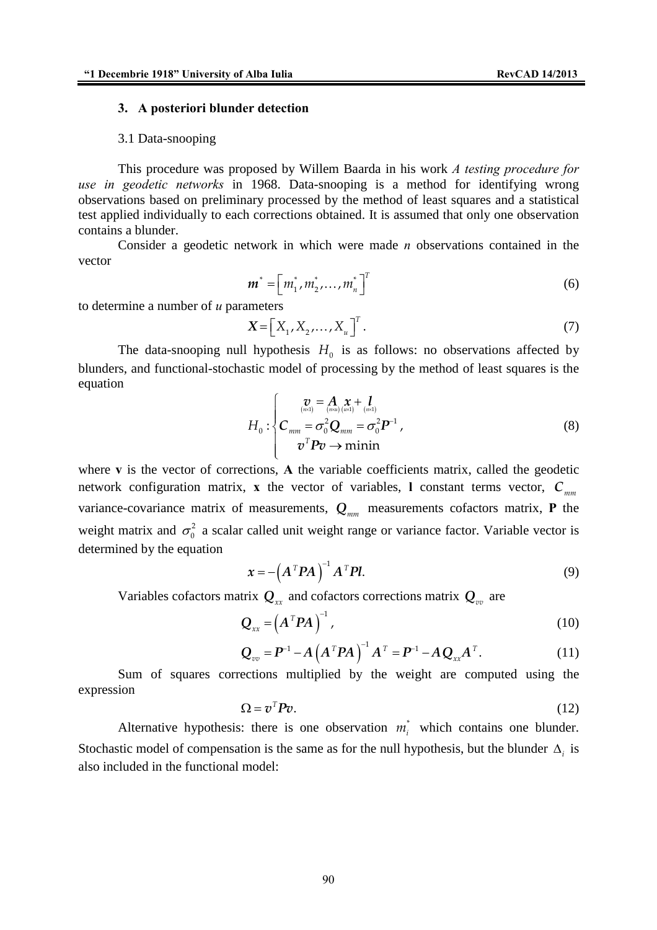#### **3. A posteriori blunder detection**

#### 3.1 Data-snooping

This procedure was proposed by Willem Baarda in his work *A testing procedure for use in geodetic networks* in 1968. Data-snooping is a method for identifying wrong observations based on preliminary processed by the method of least squares and a statistical test applied individually to each corrections obtained. It is assumed that only one observation contains a blunder.

Consider a geodetic network in which were made *n* observations contained in the vector

$$
\boldsymbol{m}^* = [m_1^*, m_2^*, \dots, m_n^*]^T
$$
 (6)

to determine a number of *u* parameters

$$
\mathbf{X} = \left[ X_1, X_2, \dots, X_u \right]^T. \tag{7}
$$

The data-snooping null hypothesis  $H_0$  is as follows: no observations affected by blunders, and functional-stochastic model of processing by the method of least squares is the equation

$$
H_0: \begin{cases} \n\frac{\boldsymbol{v}}{\binom{m\alpha}{m\alpha}} = \frac{\boldsymbol{A}}{\binom{m\alpha}{m\alpha}} \frac{\boldsymbol{x}}{\binom{m\alpha}{m\alpha}} + \frac{\boldsymbol{I}}{\binom{m\alpha}{m\alpha}} \\ \nC_{mm} = \sigma_0^2 \boldsymbol{Q}_{mm} = \sigma_0^2 \boldsymbol{P}^{-1} \\ \n\boldsymbol{v}^T \boldsymbol{P} \boldsymbol{v} \to \text{minin} \n\end{cases} \tag{8}
$$

where **v** is the vector of corrections, **A** the variable coefficients matrix, called the geodetic network configuration matrix, **x** the vector of variables, **l** constant terms vector,  $C_{mn}$ variance-covariance matrix of measurements,  $Q_{mn}$  measurements cofactors matrix, **P** the weight matrix and  $\sigma_0^2$  a scalar called unit weight range or variance factor. Variable vector is determined by the equation

$$
\boldsymbol{x} = -\left(\boldsymbol{A}^T \boldsymbol{P} \boldsymbol{A}\right)^{-1} \boldsymbol{A}^T \boldsymbol{P} \boldsymbol{l}.\tag{9}
$$

Variables cofactors matrix  $Q_x$  and cofactors corrections matrix  $Q_y$  are

$$
\mathbf{Q}_{xx} = \left(\mathbf{A}^T \mathbf{P} \mathbf{A}\right)^{-1},\tag{10}
$$

$$
Q_{vv} = P^{-1} - A(A^T P A)^{-1} A^T = P^{-1} - A Q_{xx} A^T.
$$
 (11)

Sum of squares corrections multiplied by the weight are computed using the expression

$$
\Omega = v^T P v. \tag{12}
$$

Alternative hypothesis: there is one observation  $m_i^*$  which contains one blunder. Stochastic model of compensation is the same as for the null hypothesis, but the blunder  $\Delta_i$  is also included in the functional model: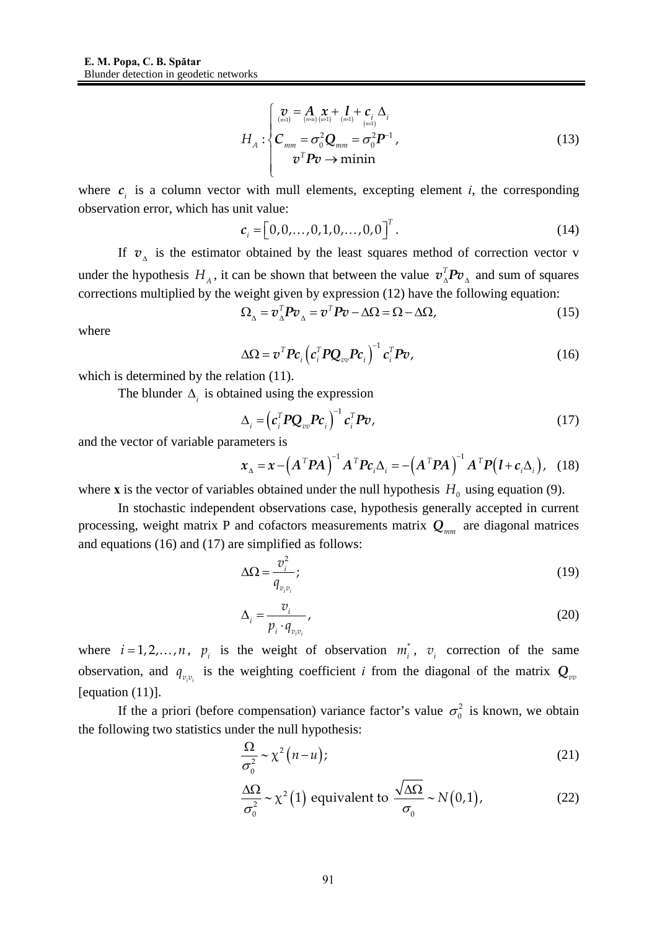$$
H_A: \begin{cases} \n\sum_{(m\alpha)} \sum_{(m\alpha)} \mathbf{X} + \mathbf{I} + \mathbf{C}_i \Delta_i \\ \n\mathbf{C}_{mm} = \sigma_0^2 \mathbf{Q}_{mm} = \sigma_0^2 \mathbf{P}^{-1}, \\ \n\sigma^T \mathbf{P} \mathbf{v} \to \text{minin} \n\end{cases} \tag{13}
$$

where  $c_i$  is a column vector with mull elements, excepting element *i*, the corresponding observation error, which has unit value:

$$
c_i = [0, 0, \dots, 0, 1, 0, \dots, 0, 0]^T.
$$
 (14)

If  $v_{\lambda}$  is the estimator obtained by the least squares method of correction vector v under the hypothesis  $H_A$ , it can be shown that between the value  $v_A^T P v_A$  and sum of squares corrections multiplied by the weight given by expression (12) have the following equation:

$$
\Omega_{\Delta} = v_{\Delta}^T P v_{\Delta} = v^T P v - \Delta \Omega = \Omega - \Delta \Omega, \qquad (15)
$$

where

$$
\Delta \Omega = \boldsymbol{v}^T \boldsymbol{P} \boldsymbol{c}_i \left( \boldsymbol{c}_i^T \boldsymbol{P} \boldsymbol{Q}_{vv} \boldsymbol{P} \boldsymbol{c}_i \right)^{-1} \boldsymbol{c}_i^T \boldsymbol{P} \boldsymbol{v}, \qquad (16)
$$

which is determined by the relation  $(11)$ .

The blunder  $\Delta_i$  is obtained using the expression

$$
\Delta_i = \left( \boldsymbol{c}_i^T \boldsymbol{P} \boldsymbol{Q}_{vv} \boldsymbol{P} \boldsymbol{c}_i \right)^{-1} \boldsymbol{c}_i^T \boldsymbol{P} \boldsymbol{v},\tag{17}
$$

and the vector of variable parameters is

$$
\boldsymbol{x}_{\Delta} = \boldsymbol{x} - \left(\boldsymbol{A}^T \boldsymbol{P} \boldsymbol{A}\right)^{-1} \boldsymbol{A}^T \boldsymbol{P} \boldsymbol{c}_i \Delta_i = -\left(\boldsymbol{A}^T \boldsymbol{P} \boldsymbol{A}\right)^{-1} \boldsymbol{A}^T \boldsymbol{P} \left(\boldsymbol{l} + \boldsymbol{c}_i \Delta_i\right), \quad (18)
$$

where **x** is the vector of variables obtained under the null hypothesis  $H_0$  using equation (9).

In stochastic independent observations case, hypothesis generally accepted in current processing, weight matrix P and cofactors measurements matrix  $Q_{mn}$  are diagonal matrices and equations (16) and (17) are simplified as follows:

$$
\Delta\Omega = \frac{v_i^2}{q_{v_iv_i}};
$$
\n(19)

$$
\Delta_i = \frac{v_i}{p_i \cdot q_{v_i v_i}},\tag{20}
$$

where  $i = 1, 2, ..., n$ ,  $p_i$  is the weight of observation  $m_i^*$ ,  $v_i$  correction of the same observation, and  $q_{v,v_i}$  is the weighting coefficient *i* from the diagonal of the matrix  $Q_{vv}$ [equation (11)].

If the a priori (before compensation) variance factor's value  $\sigma_0^2$  is known, we obtain the following two statistics under the null hypothesis:

$$
\frac{\Omega}{\sigma_0^2} \sim \chi^2 \left( n - u \right); \tag{21}
$$

$$
\frac{\Delta\Omega}{\sigma_0^2} \sim \chi^2(1) \text{ equivalent to } \frac{\sqrt{\Delta\Omega}}{\sigma_0} \sim N(0,1),\tag{22}
$$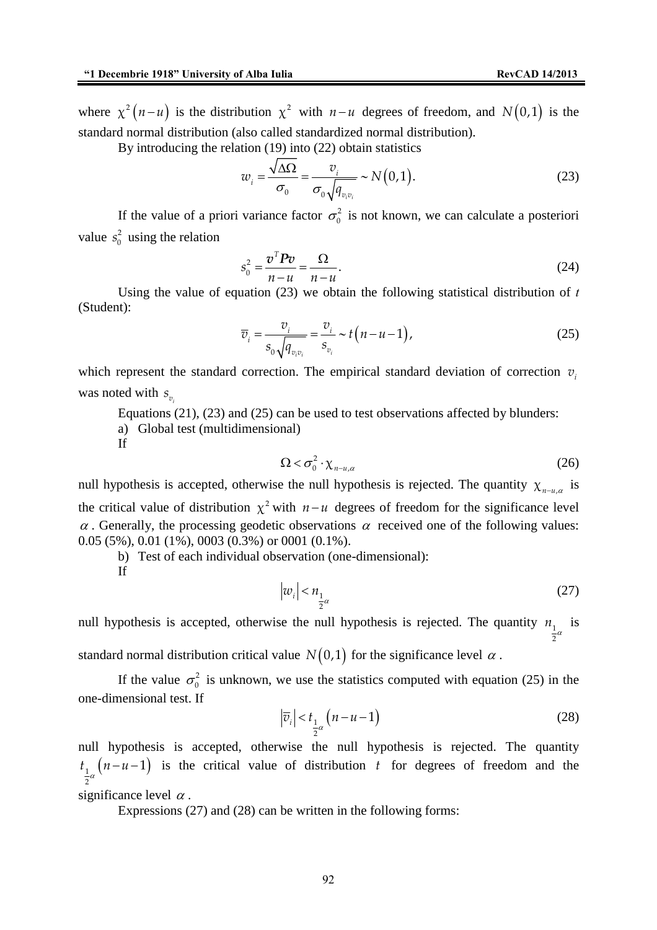where  $\chi^2 (n - u)$  is the distribution  $\chi^2$  with  $n - u$  degrees of freedom, and *N*(0,1) is the standard normal distribution (also called standardized normal distribution).

By introducing the relation (19) into (22) obtain statistics

$$
w_i = \frac{\sqrt{\Delta\Omega}}{\sigma_0} = \frac{v_i}{\sigma_0 \sqrt{q_{v_iv_i}}} \sim N(0,1).
$$
 (23)

If the value of a priori variance factor  $\sigma_0^2$  is not known, we can calculate a posteriori value  $s_0^2$  using the relation

$$
s_0^2 = \frac{\boldsymbol{v}^T \boldsymbol{P} \boldsymbol{v}}{n - u} = \frac{\Omega}{n - u}.
$$
\n(24)

Using the value of equation (23) we obtain the following statistical distribution of *t* (Student):

$$
\overline{v}_i = \frac{v_i}{s_0 \sqrt{q_{v_i v_i}}} = \frac{v_i}{s_{v_i}} \sim t(n - u - 1),
$$
\n(25)

which represent the standard correction. The empirical standard deviation of correction  $v_i$ was noted with  $s_n$ 

Equations (21), (23) and (25) can be used to test observations affected by blunders:

a) Global test (multidimensional)

If

$$
\Omega < \sigma_0^2 \cdot \chi_{n-u,\alpha} \tag{26}
$$

null hypothesis is accepted, otherwise the null hypothesis is rejected. The quantity  $\chi_{n-u,\alpha}$  is the critical value of distribution  $\chi^2$  with  $n-u$  degrees of freedom for the significance level  $\alpha$ . Generally, the processing geodetic observations  $\alpha$  received one of the following values: 0.05 (5%), 0.01 (1%), 0003 (0.3%) or 0001 (0.1%).

b) Test of each individual observation (one-dimensional):

If

$$
\left|w_i\right| < n_{\frac{1}{2}\alpha} \tag{27}
$$

null hypothesis is accepted, otherwise the null hypothesis is rejected. The quantity  $n_1$  is 2

standard normal distribution critical value  $N(0,1)$  for the significance level  $\alpha$ .

If the value  $\sigma_0^2$  is unknown, we use the statistics computed with equation (25) in the one-dimensional test. If

$$
\left|\overline{v}_i\right| < t_{\frac{1}{2}\alpha} \left(n - u - 1\right) \tag{28}
$$

null hypothesis is accepted, otherwise the null hypothesis is rejected. The quantity  $\binom{n-u-1}{1}$ 2  $t_{\frac{1}{a}}(n-u-1)$  is the critical value of distribution *t* for degrees of freedom and the

significance level  $\alpha$ .

Expressions (27) and (28) can be written in the following forms: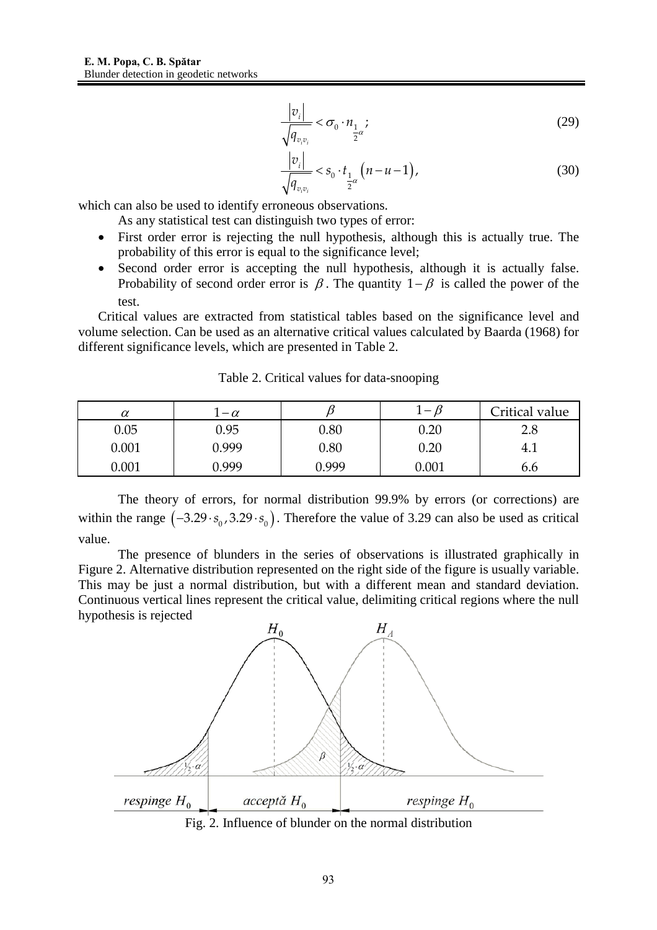$$
\frac{|v_i|}{\sqrt{q_{v_iv_i}}} < \sigma_0 \cdot n_{\frac{1}{2}\alpha};\tag{29}
$$

$$
\frac{|v_i|}{\sqrt{q_{v_i v_i}}} < s_0 \cdot t_{\frac{1}{2}\alpha} \left( n - u - 1 \right),\tag{30}
$$

which can also be used to identify erroneous observations.

As any statistical test can distinguish two types of error:

- First order error is rejecting the null hypothesis, although this is actually true. The probability of this error is equal to the significance level;
- Second order error is accepting the null hypothesis, although it is actually false. Probability of second order error is  $\beta$ . The quantity  $1-\beta$  is called the power of the test.

Critical values are extracted from statistical tables based on the significance level and volume selection. Can be used as an alternative critical values calculated by Baarda (1968) for different significance levels, which are presented in Table 2.

| $\alpha$  | $-\alpha$ |          | $-11$     | Critical value |
|-----------|-----------|----------|-----------|----------------|
| 0.05      | 0.95      | $0.80\,$ | $0.20\,$  | 2.8            |
| $0.001\,$ | 0.999     | 0.80     | $0.20\,$  | 4.1            |
| $0.001\,$ | ገ 999     | 0.999    | $0.001\,$ | b.b            |

Table 2. Critical values for data-snooping

The theory of errors, for normal distribution 99.9% by errors (or corrections) are within the range  $(-3.29 \cdot s_0, 3.29 \cdot s_0)$ . Therefore the value of 3.29 can also be used as critical value.

The presence of blunders in the series of observations is illustrated graphically in Figure 2. Alternative distribution represented on the right side of the figure is usually variable. This may be just a normal distribution, but with a different mean and standard deviation. Continuous vertical lines represent the critical value, delimiting critical regions where the null hypothesis is rejected



Fig. 2. Influence of blunder on the normal distribution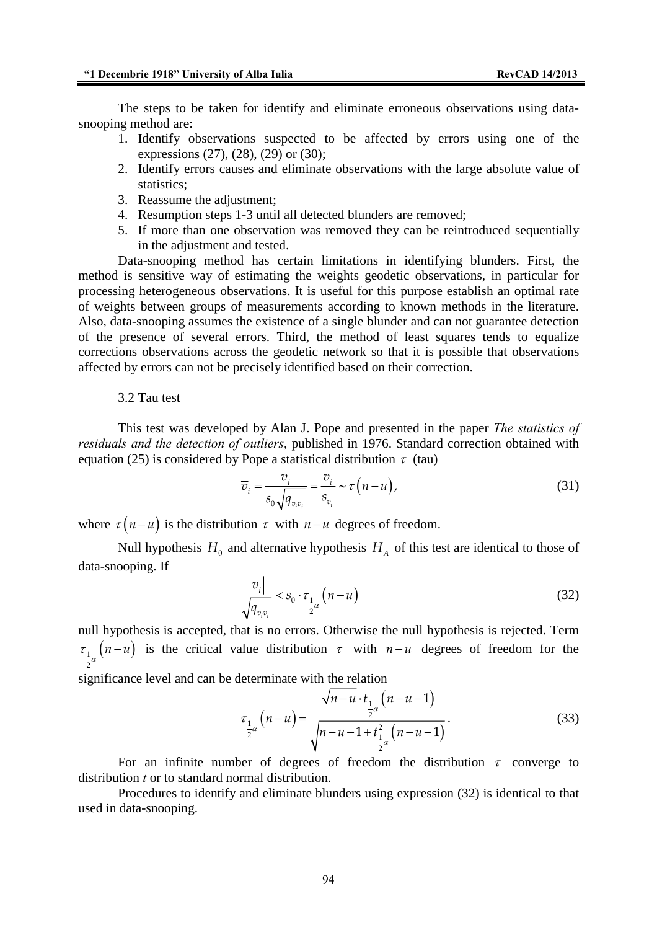The steps to be taken for identify and eliminate erroneous observations using datasnooping method are:

- 1. Identify observations suspected to be affected by errors using one of the expressions (27), (28), (29) or (30);
- 2. Identify errors causes and eliminate observations with the large absolute value of statistics;
- 3. Reassume the adjustment;
- 4. Resumption steps 1-3 until all detected blunders are removed;
- 5. If more than one observation was removed they can be reintroduced sequentially in the adjustment and tested.

Data-snooping method has certain limitations in identifying blunders. First, the method is sensitive way of estimating the weights geodetic observations, in particular for processing heterogeneous observations. It is useful for this purpose establish an optimal rate of weights between groups of measurements according to known methods in the literature. Also, data-snooping assumes the existence of a single blunder and can not guarantee detection of the presence of several errors. Third, the method of least squares tends to equalize corrections observations across the geodetic network so that it is possible that observations affected by errors can not be precisely identified based on their correction.

#### 3.2 Tau test

This test was developed by Alan J. Pope and presented in the paper *The statistics of residuals and the detection of outliers*, published in 1976. Standard correction obtained with equation (25) is considered by Pope a statistical distribution  $\tau$  (tau)

$$
\overline{v}_i = \frac{v_i}{s_0 \sqrt{q_{v_i v_i}}} = \frac{v_i}{s_{v_i}} \sim \tau(n-u),
$$
\n(31)

where  $\tau (n - u)$  is the distribution  $\tau$  with  $n - u$  degrees of freedom.

Null hypothesis  $H_0$  and alternative hypothesis  $H_A$  of this test are identical to those of data-snooping. If

$$
\frac{|v_i|}{\sqrt{q_{v_iv_i}}} < s_0 \cdot \tau_{\frac{1}{2}\alpha} \left( n - u \right) \tag{32}
$$

null hypothesis is accepted, that is no errors. Otherwise the null hypothesis is rejected. Term  $\tau_{\frac{1}{a}}(n-u)$  is the critical value distribution  $\tau$  with  $n-u$  degrees of freedom for the 2

significance level and can be determinate with the relation

$$
\tau_{\frac{1}{2}\alpha}(n-u) = \frac{\sqrt{n-u \cdot t_{\frac{1}{2}\alpha}(n-u-1)}}{\sqrt{n-u-1+t_{\frac{1}{2}\alpha}^2(n-u-1)}}.
$$
\n(33)

For an infinite number of degrees of freedom the distribution  $\tau$  converge to distribution *t* or to standard normal distribution.

Procedures to identify and eliminate blunders using expression (32) is identical to that used in data-snooping.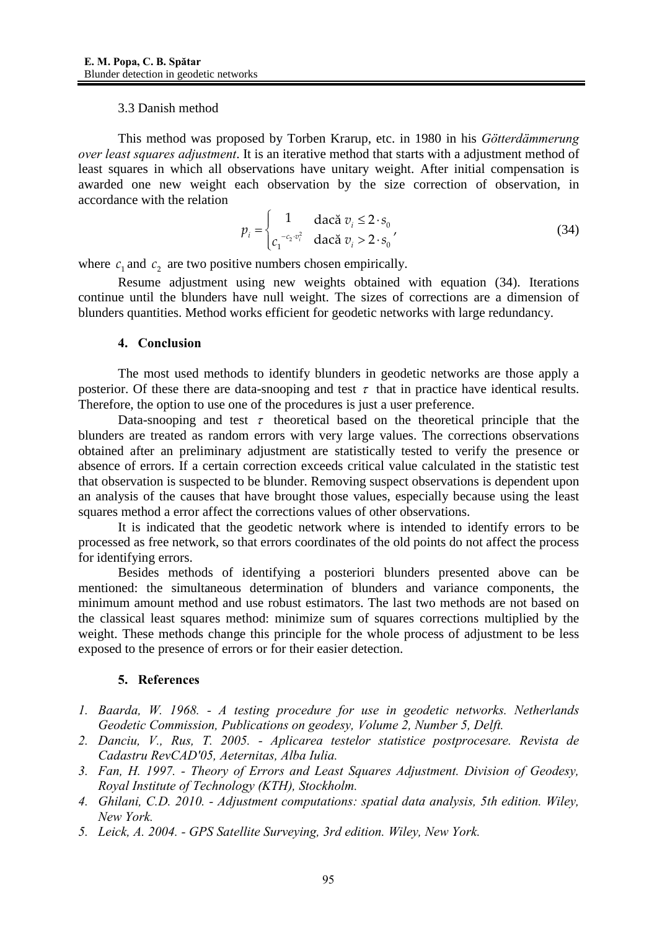### 3.3 Danish method

This method was proposed by Torben Krarup, etc. in 1980 in his *Götterdämmerung over least squares adjustment*. It is an iterative method that starts with a adjustment method of least squares in which all observations have unitary weight. After initial compensation is awarded one new weight each observation by the size correction of observation, in accordance with the relation

$$
p_i = \begin{cases} 1 & \text{dacă } v_i \le 2 \cdot s_0 \\ c_1^{-c_2 \cdot v_i^2} & \text{dacă } v_i > 2 \cdot s_0 \end{cases} \tag{34}
$$

where  $c_1$  and  $c_2$  are two positive numbers chosen empirically.

Resume adjustment using new weights obtained with equation (34). Iterations continue until the blunders have null weight. The sizes of corrections are a dimension of blunders quantities. Method works efficient for geodetic networks with large redundancy.

# **4. Conclusion**

The most used methods to identify blunders in geodetic networks are those apply a posterior. Of these there are data-snooping and test  $\tau$  that in practice have identical results. Therefore, the option to use one of the procedures is just a user preference.

Data-snooping and test  $\tau$  theoretical based on the theoretical principle that the blunders are treated as random errors with very large values. The corrections observations obtained after an preliminary adjustment are statistically tested to verify the presence or absence of errors. If a certain correction exceeds critical value calculated in the statistic test that observation is suspected to be blunder. Removing suspect observations is dependent upon an analysis of the causes that have brought those values, especially because using the least squares method a error affect the corrections values of other observations.

It is indicated that the geodetic network where is intended to identify errors to be processed as free network, so that errors coordinates of the old points do not affect the process for identifying errors.

 Besides methods of identifying a posteriori blunders presented above can be mentioned: the simultaneous determination of blunders and variance components, the minimum amount method and use robust estimators. The last two methods are not based on the classical least squares method: minimize sum of squares corrections multiplied by the weight. These methods change this principle for the whole process of adjustment to be less exposed to the presence of errors or for their easier detection.

# **5. References**

- *1. Baarda, W. 1968. A testing procedure for use in geodetic networks. Netherlands Geodetic Commission, Publications on geodesy, Volume 2, Number 5, Delft.*
- *2. Danciu, V., Rus, T. 2005. Aplicarea testelor statistice postprocesare. Revista de Cadastru RevCAD′05, Aeternitas, Alba Iulia.*
- *3. Fan, H. 1997. Theory of Errors and Least Squares Adjustment. Division of Geodesy, Royal Institute of Technology (KTH), Stockholm.*
- *4. Ghilani, C.D. 2010. Adjustment computations: spatial data analysis, 5th edition. Wiley, New York.*
- *5. Leick, A. 2004. GPS Satellite Surveying, 3rd edition. Wiley, New York.*